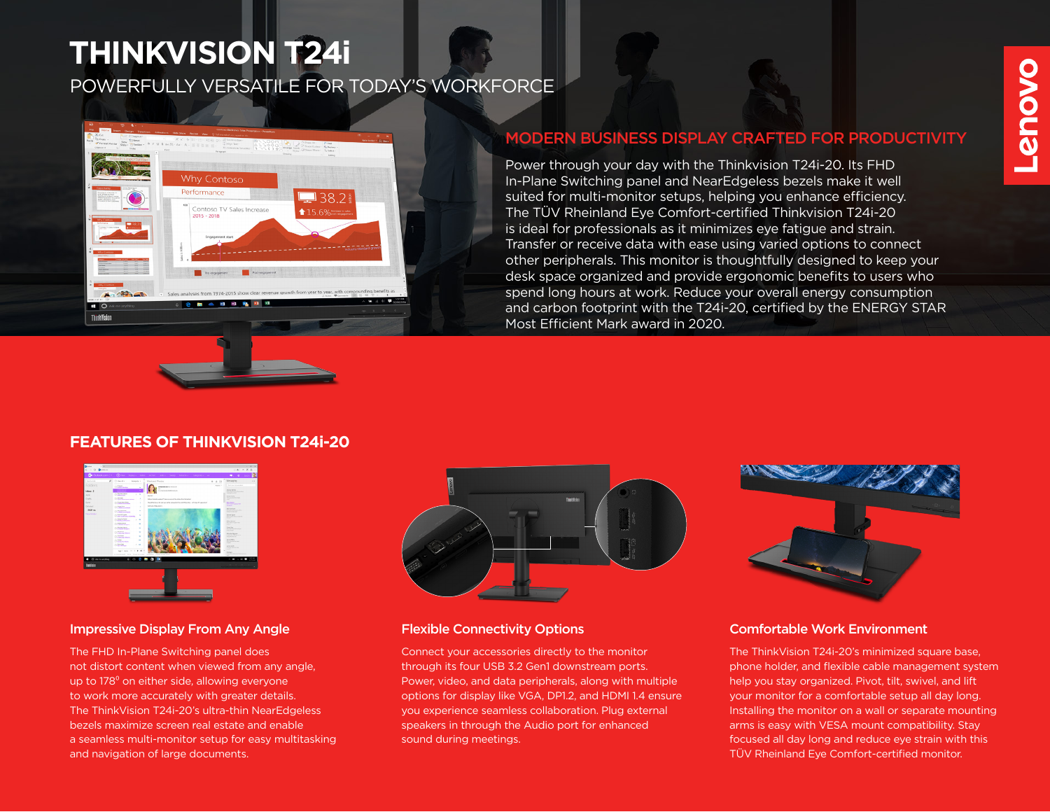# **THINKVISION T24i**

POWERFULLY VERSATILE FOR TODAY'S WORKFORCE



# MODERN BUSINESS DISPLAY CRAFTED FOR PRODUCTIVITY

Power through your day with the Thinkvision T24i-20. Its FHD In-Plane Switching panel and NearEdgeless bezels make it well suited for multi-monitor setups, helping you enhance efficiency. The TÜV Rheinland Eye Comfort-certified Thinkvision T24i-20 is ideal for professionals as it minimizes eye fatigue and strain. Transfer or receive data with ease using varied options to connect other peripherals. This monitor is thoughtfully designed to keep your desk space organized and provide ergonomic benefits to users who spend long hours at work. Reduce your overall energy consumption and carbon footprint with the T24i-20, certified by the ENERGY STAR Most Efficient Mark award in 2020.

# **FEATURES OF THINKVISION T24i-20**



# Impressive Display From Any Angle Flexible Connectivity Options

The FHD In-Plane Switching panel does not distort content when viewed from any angle, up to 178<sup>°</sup> on either side, allowing everyone to work more accurately with greater details. The ThinkVision T24i-20's ultra-thin NearEdgeless bezels maximize screen real estate and enable a seamless multi-monitor setup for easy multitasking and navigation of large documents.



Connect your accessories directly to the monitor through its four USB 3.2 Gen1 downstream ports. Power, video, and data peripherals, along with multiple options for display like VGA, DP1.2, and HDMI 1.4 ensure you experience seamless collaboration. Plug external speakers in through the Audio port for enhanced sound during meetings.



# Comfortable Work Environment

The ThinkVision T24i-20's minimized square base, phone holder, and flexible cable management system help you stay organized. Pivot, tilt, swivel, and lift your monitor for a comfortable setup all day long. Installing the monitor on a wall or separate mounting arms is easy with VESA mount compatibility. Stay focused all day long and reduce eye strain with this TÜV Rheinland Eye Comfort-certified monitor.